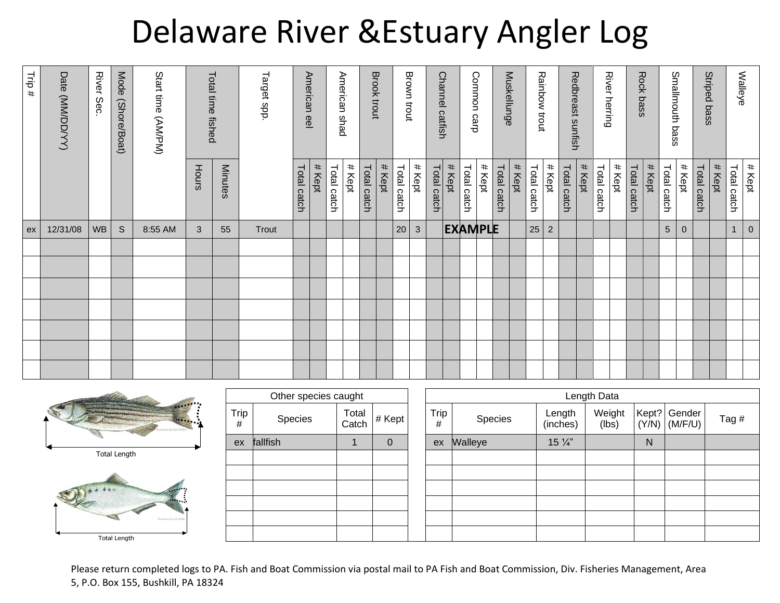## Delaware River &Estuary Angler Log

|                     | # Kept                | $\boldsymbol{0}$ |  |  |  |  |
|---------------------|-----------------------|------------------|--|--|--|--|
| Walleye             | Total catch           | 1                |  |  |  |  |
| Striped bass        | # Kept                |                  |  |  |  |  |
|                     | # Kept<br>Total catch | $\mathbf 0$      |  |  |  |  |
| Smallmouth bass     | Total catch           | $\sqrt{5}$       |  |  |  |  |
| Rock bass           | # Kept                |                  |  |  |  |  |
|                     | Total catch           |                  |  |  |  |  |
|                     | # Kept                |                  |  |  |  |  |
| River herring       | Total catch           |                  |  |  |  |  |
| Redbreast sunfish   | # Kept                |                  |  |  |  |  |
|                     | Total catch           |                  |  |  |  |  |
| Rainbow trout       | # Kept                | $\overline{2}$   |  |  |  |  |
|                     | Total catch           | 25               |  |  |  |  |
| Muskellunge         | # Kept                |                  |  |  |  |  |
|                     | Total catch           |                  |  |  |  |  |
| Common carp         | # Kept                | <b>EXAMPLE</b>   |  |  |  |  |
|                     | # Kept<br>Total catch |                  |  |  |  |  |
| Channel<br>catfish  | Total catch           |                  |  |  |  |  |
|                     | # Kept                | $\mathbf{3}$     |  |  |  |  |
| <b>Brown trout</b>  | Total catch           | 20               |  |  |  |  |
| Brook trout         | # Kept                |                  |  |  |  |  |
|                     | Total catch           |                  |  |  |  |  |
| American shad       | # Kept                |                  |  |  |  |  |
|                     | Total catch           |                  |  |  |  |  |
| American eel        | # Kept                |                  |  |  |  |  |
|                     | Total catch           |                  |  |  |  |  |
| Target spp.         |                       | Trout            |  |  |  |  |
| Total time fished   | <b>Minutes</b>        | 55               |  |  |  |  |
|                     | Hours                 | 3                |  |  |  |  |
| Start time (AM/PM)  |                       | 8:55 AM          |  |  |  |  |
| Mode (Shore/Boat)   |                       | $\mathsf S$      |  |  |  |  |
| <b>River</b><br>Sec |                       | <b>WB</b>        |  |  |  |  |
| Date (MM/DD/YY)     |                       | 12/31/08         |  |  |  |  |
| Trip #              |                       | ex               |  |  |  |  |







|              | Other species caught |                |          | Length Data |         |                    |                 |                |                   |       |  |
|--------------|----------------------|----------------|----------|-------------|---------|--------------------|-----------------|----------------|-------------------|-------|--|
| Trip<br>$\#$ | Species              | Total<br>Catch | # Kept   | Trip<br>#   | Species | Length<br>(inches) | Weight<br>(lbs) | Kept?<br>(Y/N) | Gender<br>(M/F/U) | Tag # |  |
| ex           | fallfish             |                | $\Omega$ | ex          | Walleye | $15\frac{1}{4}$    |                 | N              |                   |       |  |
|              |                      |                |          |             |         |                    |                 |                |                   |       |  |
|              |                      |                |          |             |         |                    |                 |                |                   |       |  |
|              |                      |                |          |             |         |                    |                 |                |                   |       |  |
|              |                      |                |          |             |         |                    |                 |                |                   |       |  |
|              |                      |                |          |             |         |                    |                 |                |                   |       |  |
|              |                      |                |          |             |         |                    |                 |                |                   |       |  |

Please return completed logs to PA. Fish and Boat Commission via postal mail to PA Fish and Boat Commission, Div. Fisheries Management, Area 5, P.O. Box 155, Bushkill, PA 18324